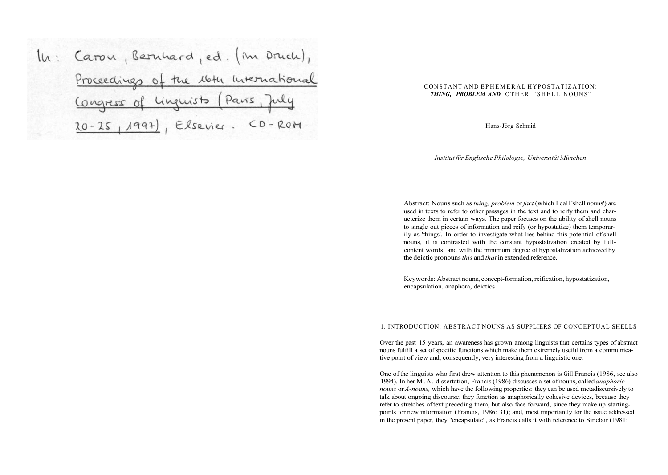In: Caron, Bernhard, ed. (m Druch), Proceedings of the 16th International Linguists (Paris, Congress of Elsevier. CD-ROM  $20 - 25, 1994)$ 

## CONSTANT AND EPHEMERA L HYPOSTATIZATION: **THING, PROBLEM AND OTHER "SHELL NOUNS"**

Hans-Jörg Schmid

*Institut für Englische Philologie, Universität München* 

Abstract: Nouns such as *thing, problem* or *fact* (which I call 'shell nouns') are used in texts to refer to other passages in the text and to reify them and characterize them in certain ways. The paper focuses on the ability of shell nouns to single out pieces of information and reify (or hypostatize) them temporarily as 'things'. In order to investigate what lies behind this potential of shell nouns, it is contrasted with the constant hypostatization created by fullcontent words, and with the minimum degree of hypostatization achieved by the deictic pronouns *this* and *that* in extended reference.

Keywords: Abstract nouns, concept-formation, reification, hypostatization, encapsulation, anaphora, deictics

#### 1. INTRODUCTION: ABSTRACT NOUNS AS SUPPLIERS OF CONCEPTUAL SHELLS

Over the past 15 years, an awareness has grown among linguists that certains types of abstract nouns fulfill a set of specific functions which make them extremely useful from a communicative point of view and, consequently, very interesting from a linguistic one.

One of the linguists who first drew attention to this phenomenon is Gill Francis (1986, see also 1994). In her M.A. dissertation, Francis (1986) discusses a set of nouns, called *anaphoric nouns* or *A-nouns,* which have the following properties: they can be used metadiscursively to talk about ongoing discourse; they function as anaphorically cohesive devices, because they refer to stretches of text preceding them, but also face forward, since they make up startingpoints for new information (Francis, 1986: 3f); and, most importantly for the issue addressed in the present paper, they "encapsulate", as Francis calls it with reference to Sinclair (1981: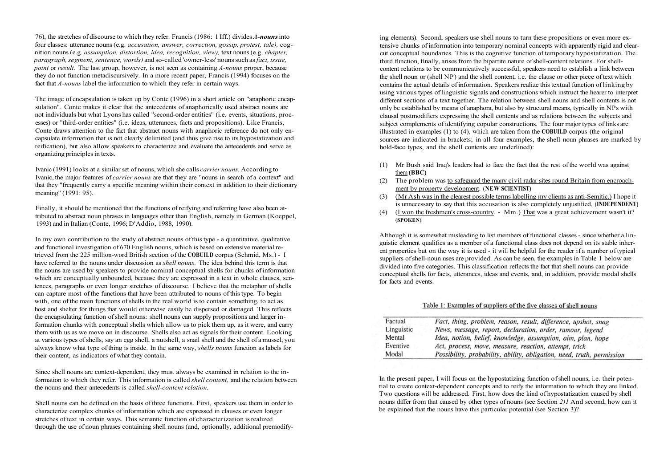76), the stretches of discourse to which they refer. Francis (1986: 1 Iff.) divides *A-nouns* into four classes: utterance nouns (e.g. *accusation, answer, correction, gossip, protest, tale),* cognition nouns (e.g. *assumption, distortion, idea, recognition, view),* text nouns (e.g. *chapter, paragraph, segment, sentence, words)* and so-called 'owner-less' nouns such as *fact, issue, point* or *result*. The last group, however, is not seen as containing *A-nouns* proper, because they do not function metadiscursively. In a more recent paper, Francis (1994) focuses on the fact that *A-nouns* label the information to which they refer in certain ways.

The image of encapsulation is taken up by Conte (1996) in a short article on "anaphoric encapsulation". Conte makes it clear that the antecedents of anaphorically used abstract nouns are not individuals but what Lyons has called "second-order entities" (i.e. events, situations, processes) or "third-order entities" (i.e. ideas, utterances, facts and propositions). Like Francis, Conte draws attention to the fact that abstract nouns with anaphoric reference do not only encapsulate information that is not clearly delimited (and thus give rise to its hypostatization and reification), but also allow speakers to characterize and evaluate the antecedents and serve as organizing principles in texts.

Ivanic (1991) looks at a similar set of nouns, which she calls *carrier nouns.* According to Ivanic, the major features of *carrier nouns* are that they are "nouns in search of a context" and that they "frequently carry a specific meaning within their context in addition to their dictionary meaning" (1991: 95).

Finally, it should be mentioned that the functions of reifying and referring have also been attributed to abstract noun phrases in languages other than English, namely in German (Koeppel, 1993) and in Italian (Conte, 1996; D'Addio, 1988, 1990).

In my own contribution to the study of abstract nouns of this type - a quantitative, qualitative and functional investigation of 670 English nouns, which is based on extensive material retrieved from the 225 million-word British section of the **COBUILD** corpus (Schmid, Ms.) - I have referred to the nouns under discussion as *shell nouns.* The idea behind this term is that the nouns are used by speakers to provide nominal conceptual shells for chunks of information which are conceptually unbounded, because they are expressed in a text in whole clauses, sentences, paragraphs or even longer stretches of discourse. I believe that the metaphor of shells can capture most of the functions that have been attributed to nouns of this type. To begin with, one of the main functions of shells in the real world is to contain something, to act as host and shelter for things that would otherwise easily be dispersed or damaged. This reflects the encapsulating function of shell nouns: shell nouns can supply propositions and larger information chunks with conceptual shells which allow us to pick them up, as it were, and carry them with us as we move on in discourse. Shells also act as signals for their content. Looking at various types of shells, say an egg shell, a nutshell, a snail shell and the shell of a mussel, you always know what type of thing is inside. In the same way, *shells nouns* function as labels for their content, as indicators of what they contain.

Since shell nouns are context-dependent, they must always be examined in relation to the information to which they refer. This information is called *shell content,* and the relation between the nouns and their antecedents is called *shell-content relation.* 

Shell nouns can be defined on the basis of three functions. First, speakers use them in order to characterize complex chunks of information which are expressed in clauses or even longer stretches of text in certain ways. This semantic function of characterization is realized through the use of noun phrases containing shell nouns (and, optionally, additional premodify-

ing elements). Second, speakers use shell nouns to turn these propositions or even more extensive chunks of information into temporary nominal concepts with apparently rigid and clearcut conceptual boundaries. This is the cognitive function of temporary hypostatization. The third function, finally, arises from the bipartite nature of shell-content relations. For shellcontent relations to be communicatively successful, speakers need to establish a link between the shell noun or (shell NP) and the shell content, i.e. the clause or other piece of text which contains the actual details of information. Speakers realize this textual function of linking by using various types of linguistic signals and constructions which instruct the hearer to interpret different sections of a text together. The relation between shell nouns and shell contents is not only be established by means of anaphora, but also by structural means, typically in NPs with clausal postmodifiers expressing the shell contents and as relations between the subjects and subject complements of identifying copular constructions. The four major types of links are illustrated in examples (1) to (4), which are taken from the **COBUILD** corpus (the original sources are indicated in brackets; in all four examples, the shell noun phrases are marked by bold-face types, and the shell contents are underlined):

- (1) Mr Bush said Iraq's leaders had to face the fact that the rest of the world was against them **(BBC)**
- (2) The problem was to safeguard the many civil radar sites round Britain from encroachment by property development. (**NEW SCIENTIST)**
- (3) (Mr Ash was in the clearest possible terms labelling my clients as anti-Semitic.) I hope it is unnecessary to say that this accusation is also completely unjustified, (**INDEPENDENT)**
- (4) (I won the freshmen's cross-country. Mm.) That was a great achievement wasn't it? **(SPOKEN)**

Although it is somewhat misleading to list members of functional classes - since whether a linguistic element qualifies as a member of a functional class does not depend on its stable inherent properties but on the way it is used - it will be helpful for the reader if a number of typical suppliers of shell-noun uses are provided. As can be seen, the examples in Table 1 below are divided into five categories. This classification reflects the fact that shell nouns can provide conceptual shells for facts, utterances, ideas and events, and, in addition, provide modal shells for facts and events.

# Table 1: Examples of suppliers of the five classes of shell nouns

| Factual    | Fact, thing, problem, reason, result, difference, upshot, snag         |  |  |
|------------|------------------------------------------------------------------------|--|--|
| Linguistic | News, message, report, declaration, order, rumour, legend              |  |  |
| Mental     | Idea, notion, belief, knowledge, assumption, aim, plan, hope           |  |  |
| Eventive   | Act, process, move, measure, reaction, attempt, trick                  |  |  |
| Modal      | Possibility, probability, ability, obligation, need, truth, permission |  |  |

In the present paper, I will focus on the hypostatizing function of shell nouns, i.e. their potential to create context-dependent concepts and to reify the information to which they are linked. Two questions will be addressed. First, how does the kind of hypostatization caused by shell nouns differ from that caused by other types of nouns (see Section *2)1* And second, how can it be explained that the nouns have this particular potential (see Section 3)?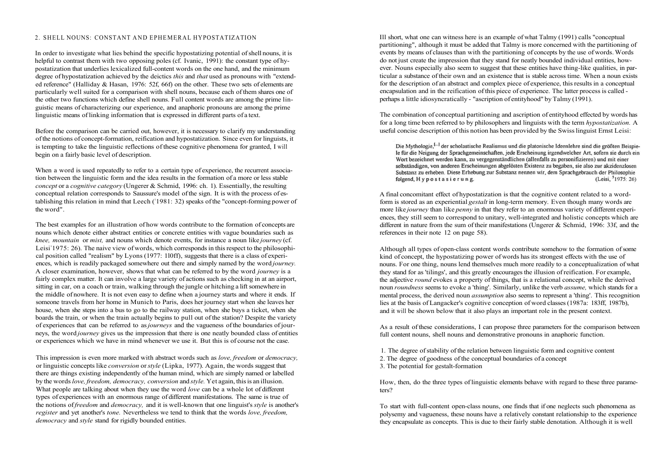### 2. SHELL NOUNS: CONSTANT AND EPHEMERAL HYPOSTATIZATION

In order to investigate what lies behind the specific hypostatizing potential of shell nouns, it is helpful to contrast them with two opposing poles (cf. Ivanic, 1991): the constant type of hypostatization that underlies lexicalized full-content words on the one hand, and the minimum degree of hypostatization achieved by the deictics *this* and *that* used as pronouns with "extended reference" (Halliday & Hasan, 1976: 52f, 66f) on the other. These two sets of elements are particularly well suited for a comparison with shell nouns, because each of them shares one of the other two functions which define shell nouns. Full content words are among the prime linguistic means of characterizing our experience, and anaphoric pronouns are among the prime linguistic means of linking information that is expressed in different parts of a text.

Before the comparison can be carried out, however, it is necessary to clarify my understanding of the notions of concept-formation, reification and hypostatization. Since even for linguists, it is tempting to take the linguistic reflections of these cognitive phenomena for granted, I will begin on a fairly basic level of description.

When a word is used repeatedly to refer to a certain type of experience, the recurrent association between the linguistic form and the idea results in the formation of a more or less stable *concept* or a *cognitive category* (Ungerer & Schmid, 1996: ch. 1). Essentially, the resulting conceptual relation corresponds to Saussure's model of the sign. It is with the process of establishing this relation in mind that Leech ('1981: 32) speaks of the "concept-forming power of the word".

The best examples for an illustration of how words contribute to the formation of concepts are nouns which denote either abstract entities or concrete entities with vague boundaries such as *knee, mountain* or *mist,* and nouns which denote events, for instance a noun like *journey* (cf. Leisi' 1975: 26). The naive view of words, which corresponds in this respect to the philosophical position called "realism" by Lyons (1977: 1l0ff), suggests that there is a class of experiences, which is readily packaged somewhere out there and simply named by the word *journey.*  A closer examination, however, shows that what can be referred to by the word *journey* is a fairly complex matter. It can involve a large variety of actions such as checking in at an airport, sitting in car, on a coach or train, walking through the jungle or hitching a lift somewhere in the middle of nowhere. It is not even easy to define when a journey starts and where it ends. If someone travels from her home in Munich to Paris, does her journey start when she leaves her house, when she steps into a bus to go to the railway station, when she buys a ticket, when she boards the train, or when the train actually begins to pull out of the station? Despite the variety of experiences that can be referred to as *journeys* and the vagueness of the boundaries of journeys, the word *journey* gives us the impression that there is one neatly bounded class of entities or experiences which we have in mind whenever we use it. But this is of course not the case.

This impression is even more marked with abstract words such as *love, freedom* or *democracy,*  or linguistic concepts like *conversion* or *style* (Lipka, 1977). Again, the words suggest that there are things existing independently of the human mind, which are simply named or labelled by the words *love, freedom, democracy, conversion* and *style.* Yet again, this is an illusion. What people are talking about when they use the word *love* can be a whole lot of different types of experiences with an enormous range of different manifestations. The same is true of the notions of *freedom* and *democracy,* and it is well-known that one linguist's *style* is another's *register* and yet another's *tone.* Nevertheless we tend to think that the words *love, freedom, democracy* and *style* stand for rigidly bounded entities.

Ill short, what one can witness here is an example of what Talmy (1991) calls "conceptual partitioning", although it must be added that Talmy is more concerned with the partitioning of events by means of clauses than with the partitioning of concepts by the use of words. Words do not just create the impression that they stand for neatly bounded individual entities, however. Nouns especially also seem to suggest that these entities have thing-like qualities, in particular a substance of their own and an existence that is stable across time. When a noun exists for the description of an abstract and complex piece of experience, this results in a conceptual encapsulation and in the reification of this piece of experience. The latter process is called perhaps a little idiosyncratically - "ascription of entityhood" by Talmy (1991).

The combination of conceptual partitioning and ascription of entityhood effected by words has for a long time been referred to by philosophers and linguists with the term *hypostatization.* A useful concise description of this notion has been provided by the Swiss linguist Ernst Leisi:

Die Mythologie <sup>[…]</sup> der scholastische Realismus und die platonische Ideenlehre sind die größten Beispiele für die Neigung der Sprachgemeinschaften, jede Erscheinung irgendwelcher Art, sofern sie durch ein Wort bezeichnet werden kann, zu vergegenständlichen (allenfalls zu personifizieren) und mit einer selbständigen, von anderen Erscheinungen abgelösten Existenz zu begaben, sie also zur akzidenzlosen Substanz zu erheben. Diese Erhebung zur Substanz nennen wir, dem Sprachgebrauch der Philosophie folgend, Hypostasierung.  $(Leisi, \frac{5}{2}1975; 26)$ 

A final concomitant effect of hypostatization is that the cognitive content related to a wordform is stored as an experiential *gestalt* in long-term memory. Even though many words are more like *journey* than like *penny* in that they refer to an enormous variety of different experiences, they still seem to correspond to unitary, well-integrated and holistic concepts which are different in nature from the sum of their manifestations (Ungerer & Schmid, 1996: 33f, and the references in their note 12 on page 58).

Although all types of open-class content words contribute somehow to the formation of some kind of concept, the hypostatizing power of words has its strongest effects with the use of nouns. For one thing, nouns lend themselves much more readily to a conceptualization of what they stand for as 'tilings', and this greatly encourages the illusion of reification. For example, the adjective *round* evokes a property of things, that is a relational concept, while the derived noun *roundness* seems to evoke a 'thing'. Similarly, unlike the verb *assume,* which stands for a mental process, the derived noun *assumption* also seems to represent a 'thing'. This recognition lies at the basis of Langacker's cognitive conception of word classes (1987a: 183ff, 1987b), and it will be shown below that it also plays an important role in the present context.

As a result of these considerations, I can propose three parameters for the comparison between full content nouns, shell nouns and demonstrative pronouns in anaphoric function.

- 1. The degree of stability of the relation between linguistic form and cognitive content
- 2. The degree of goodness of the conceptual boundaries of a concept
- 3. The potential for gestalt-formation

How, then, do the three types of linguistic elements behave with regard to these three parameters?

To start with full-content open-class nouns, one finds that if one neglects such phenomena as polysemy and vagueness, these nouns have a relatively constant relationship to the experience they encapsulate as concepts. This is due to their fairly stable denotation. Although it is well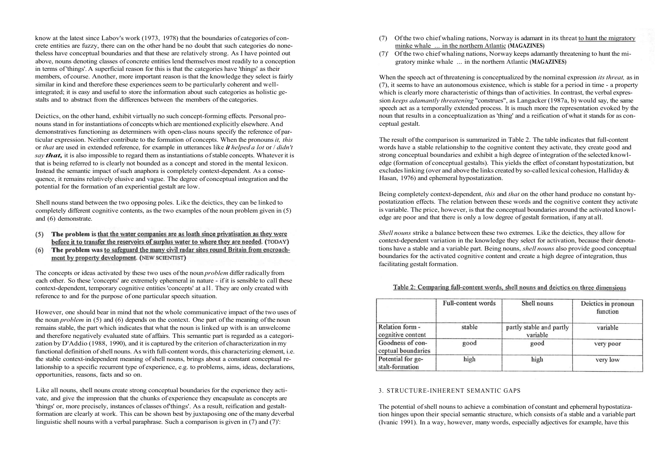know at the latest since Labov's work (1973, 1978) that the boundaries of categories of concrete entities are fuzzy, there can on the other hand be no doubt that such categories do nonetheless have conceptual boundaries and that these are relatively strong. As I have pointed out above, nouns denoting classes of concrete entities lend themselves most readily to a conception in terms of 'things'. A superficial reason for this is that the categories have 'things' as their members, of course. Another, more important reason is that the knowledge they select is fairly similar in kind and therefore these experiences seem to be particularly coherent and wellintegrated; it is easy and useful to store the information about such categories as holistic gestalts and to abstract from the differences between the members of the categories.

Deictics, on the other hand, exhibit virtually no such concept-forming effects. Personal pronouns stand in for instantiations of concepts which are mentioned explicitly elsewhere. And demonstratives functioning as determiners with open-class nouns specify the reference of particular expression. Neither contribute to the formation of concepts. When the pronouns *it, this*  or *that* are used in extended reference, for example in utterances like *it helped a lot* or / *didn't say that,* it is also impossible to regard them as instantiations of stable concepts. Whatever it is that is being referred to is clearly not bounded as a concept and stored in the mental lexicon. Instead the semantic impact of such anaphora is completely context-dependent. As a consequence, it remains relatively elusive and vague. The degree of conceptual integration and the potential for the formation of an experiential gestalt are low.

Shell nouns stand between the two opposing poles. Like the deictics, they can be linked to completely different cognitive contents, as the two examples of the noun problem given in (5) and (6) demonstrate.

- (5) The problem is that the water companies are as loath since privatisation as they were before it to transfer the reservoirs of surplus water to where they are needed. (TODAY)
- (6) The problem was to safeguard the many civil radar sites round Britain from encroachment by property development. (NEW SCIENTIST)

The concepts or ideas activated by these two uses of the noun *problem* differ radically from each other. So these 'concepts' are extremely ephemeral in nature - if it is sensible to call these context-dependent, temporary cognitive entities 'concepts' at all. They are only created with reference to and for the purpose of one particular speech situation.

However, one should bear in mind that not the whole communicative impact of the two uses of the noun *problem* in (5) and (6) depends on the context. One part of the meaning of the noun remains stable, the part which indicates that what the noun is linked up with is an unwelcome and therefore negatively evaluated state of affairs. This semantic part is regarded as a categorization by D'Addio (1988, 1990), and it is captured by the criterion of characterization in my functional definition of shell nouns. As with full-content words, this characterizing element, i.e. the stable context-independent meaning of shell nouns, brings about a constant conceptual relationship to a specific recurrent type of experience, e.g. to problems, aims, ideas, declarations, opportunities, reasons, facts and so on.

Like all nouns, shell nouns create strong conceptual boundaries for the experience they activate, and give the impression that the chunks of experience they encapsulate as concepts are 'things' or, more precisely, instances of classes of'things'. As a result, reification and gestaltformation are clearly at work. This can be shown best by juxtaposing one of the many deverbal linguistic shell nouns with a verbal paraphrase. Such a comparison is given in (7) and (7)':

- (7) Of the two chief whaling nations, Norway is adamant in its threat to hunt the migratory minke whale ... in the northern Atlantic **(MAGAZINES)**
- (7)' Of the two chief whaling nations, Norway keeps adamantly threatening to hunt the migratory minke whale ... in the northern Atlantic **(MAGAZINES)**

When the speech act of threatening is conceptualized by the nominal expression *its threat,* as in (7), it seems to have an autonomous existence, which is stable for a period in time - a property which is clearly more characteristic of things than of activities. In contrast, the verbal expression *keeps adamantly threatening* "construes", as Langacker (1987a, b) would say, the same speech act as a temporally extended process. It is much more the representation evoked by the noun that results in a conceptualization as 'thing' and a reification of what it stands for as conceptual gestalt.

The result of the comparison is summarized in Table 2. The table indicates that full-content words have a stable relationship to the cognitive content they activate, they create good and strong conceptual boundaries and exhibit a high degree of integration of the selected knowledge (formation of conceptual gestalts). This yields the effect of constant hypostatization, but excludes linking (over and above the links created by so-called lexical cohesion, Halliday & Hasan, 1976) and ephemeral hypostatization.

Being completely context-dependent, *this* and *that* on the other hand produce no constant hypostatization effects. The relation between these words and the cognitive content they activate is variable. The price, however, is that the conceptual boundaries around the activated knowledge are poor and that there is only a low degree of gestalt formation, if any at all.

*Shell nouns* strike a balance between these two extremes. Like the deictics, they allow for context-dependent variation in the knowledge they select for activation, because their denotations have a stable and a variable part. Being nouns, *shell nouns* also provide good conceptual boundaries for the activated cognitive content and create a high degree of integration, thus facilitating gestalt formation.

|                                        | Full-content words | Shell nouns                          | Deictics in pronoun<br>function |
|----------------------------------------|--------------------|--------------------------------------|---------------------------------|
| Relation form -<br>cognitive content   | stable             | partly stable and partly<br>variable | variable                        |
| Goodness of con-<br>ceptual boundaries | good               | good                                 | very poor                       |
| Potential for ge-<br>stalt-formation   | high               | high                                 | very low                        |

# Table 2: Comparing full-content words, shell nouns and deictics on three dimensions

### 3. STRUCTURE-INHERENT SEMANTIC GAPS

The potential of shell nouns to achieve a combination of constant and ephemeral hypostatization hinges upon their special semantic structure, which consists of a stable and a variable part (Ivanic 1991). In a way, however, many words, especially adjectives for example, have this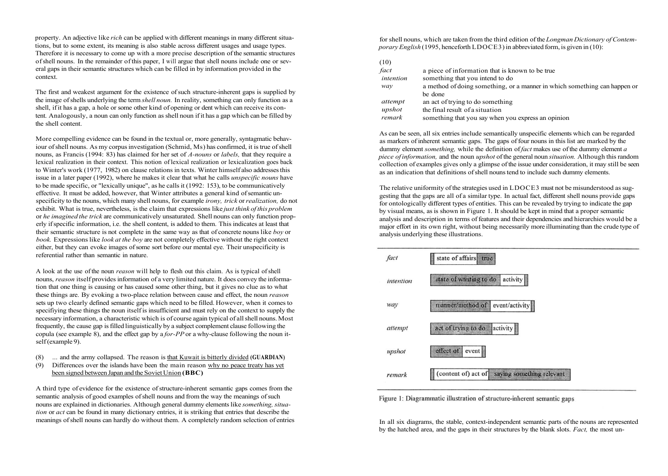property. An adjective like *rich* can be applied with different meanings in many different situations, but to some extent, its meaning is also stable across different usages and usage types. Therefore it is necessary to come up with a more precise description of the semantic structures of shell nouns. In the remainder of this paper, I will argue that shell nouns include one or several gaps in their semantic structures which can be filled in by information provided in the context.

The first and weakest argument for the existence of such structure-inherent gaps is supplied by the image of shells underlying the term *shell noun.* In reality, something can only function as a shell, if it has a gap, a hole or some other kind of opening or dent which can receive its content. Analogously, a noun can only function as shell noun if it has a gap which can be filled by the shell content.

More compelling evidence can be found in the textual or, more generally, syntagmatic behaviour of shell nouns. As my corpus investigation (Schmid, Ms) has confirmed, it is true of shell nouns, as Francis (1994: 83) has claimed for her set of *A-nouns* or *labels,* that they require a lexical realization in their context. This notion of lexical realization or lexicalization goes back to Winter's work (1977, 1982) on clause relations in texts. Winter himself also addresses this issue in a later paper (1992), where he makes it clear that what he calls *unspecific nouns* have to be made specific, or "lexically unique", as he calls it (1992: 153), to be communicatively effective. It must be added, however, that Winter attributes a general kind of semantic unspecificity to the nouns, which many shell nouns, for example *irony, trick* or *realization,* do not exhibit. What is true, nevertheless, is the claim that expressions like *just think of this problem*  or *he imagined the trick* are communicatively unsaturated. Shell nouns can only function properly if specific information, i.e. the shell content, is added to them. This indicates at least that their semantic structure is not complete in the same way as that of concrete nouns like *boy* or *book.* Expressions like *look at the boy* are not completely effective without the right context either, but they can evoke images of some sort before our mental eye. Their unspecificity is referential rather than semantic in nature.

A look at the use of the noun *reason* will help to flesh out this claim. As is typical of shell nouns, *reason* itself provides information of a very limited nature. It does convey the information that one thing is causing or has caused some other thing, but it gives no clue as to what these things are. By evoking a two-place relation between cause and effect, the noun *reason*  sets up two clearly defined semantic gaps which need to be filled. However, when it comes to specifiying these things the noun itself is insufficient and must rely on the context to supply the necessary information, a characteristic which is of course again typical of all shell nouns. Most frequently, the cause gap is filled linguistically by a subject complement clause following the copula (see example 8), and the effect gap by a *for-PP* or a why-clause following the noun itself (example 9).

- (8) ... and the army collapsed. The reason is that Kuwait is bitterly divided **(GUARDIAN)**
- (9) Differences over the islands have been the main reason why no peace treaty has yet been signed between Japan and the Soviet Union **(BBC)**

A third type of evidence for the existence of structure-inherent semantic gaps comes from the semantic analysis of good examples of shell nouns and from the way the meanings of such nouns are explained in dictionaries. Although general dummy elements like *something, situation* or *act* can be found in many dictionary entries, it is striking that entries that describe the meanings of shell nouns can hardly do without them. A completely random selection of entries for shell nouns, which are taken from the third edition of the *Longman Dictionary of Contemporary English* (1995, henceforth LDOCE3) in abbreviated form, is given in (10):

## (10)

| fact      | a piece of information that is known to be true                           |
|-----------|---------------------------------------------------------------------------|
| intention | something that you intend to do                                           |
| way       | a method of doing something, or a manner in which something can happen or |
|           | be done                                                                   |
| attempt   | an act of trying to do something                                          |
| upshot    | the final result of a situation                                           |
| remark    | something that you say when you express an opinion                        |
|           |                                                                           |

As can be seen, all six entries include semantically unspecific elements which can be regarded as markers of inherent semantic gaps. The gaps of four nouns in this list are marked by the dummy element *something,* while the definition of *fact* makes use of the dummy element *a piece of information,* and the noun *upshot* of the general noun *situation.* Although this random collection of examples gives only a glimpse of the issue under consideration, it may still be seen as an indication that definitions of shell nouns tend to include such dummy elements.

The relative uniformity of the strategies used in LDOCE3 must not be misunderstood as suggesting that the gaps are all of a similar type. In actual fact, different shell nouns provide gaps for ontologically different types of entities. This can be revealed by trying to indicate the gap by visual means, as is shown in Figure 1. It should be kept in mind that a proper semantic analysis and description in terms of features and their dependencies and hierarchies would be a major effort in its own right, without being necessarily more illuminating than the crude type of analysis underlying these illustrations.



Figure 1: Diagrammatic illustration of structure-inherent semantic gans

In all six diagrams, the stable, context-independent semantic parts of the nouns are represented by the hatched area, and the gaps in their structures by the blank slots. *Fact,* the most un